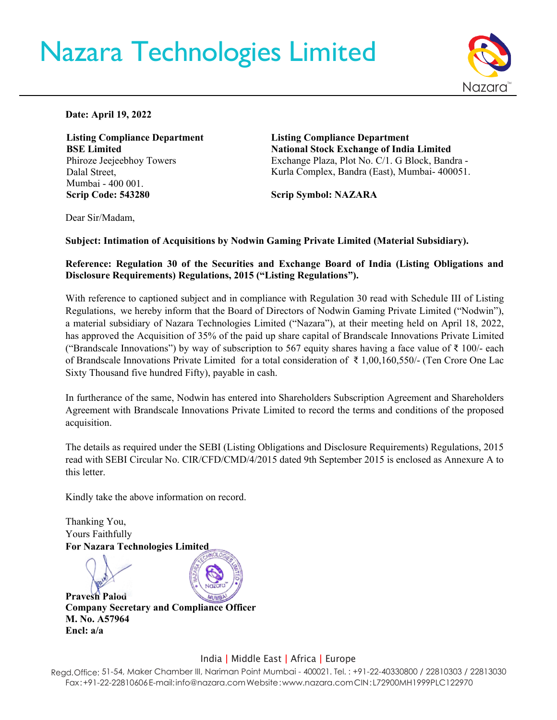# Nazara Technologies Limited



**Date: April 19, 2022** 

**Listing Compliance Department BSE Limited**  Phiroze Jeejeebhoy Towers Dalal Street, Mumbai - 400 001. **Scrip Code: 543280**

**Listing Compliance Department National Stock Exchange of India Limited**  Exchange Plaza, Plot No. C/1. G Block, Bandra - Kurla Complex, Bandra (East), Mumbai- 400051.

**Scrip Symbol: NAZARA** 

Dear Sir/Madam,

**Subject: Intimation of Acquisitions by Nodwin Gaming Private Limited (Material Subsidiary).**

### **Reference: Regulation 30 of the Securities and Exchange Board of India (Listing Obligations and Disclosure Requirements) Regulations, 2015 ("Listing Regulations").**

With reference to captioned subject and in compliance with Regulation 30 read with Schedule III of Listing Regulations, we hereby inform that the Board of Directors of Nodwin Gaming Private Limited ("Nodwin"), a material subsidiary of Nazara Technologies Limited ("Nazara"), at their meeting held on April 18, 2022, has approved the Acquisition of 35% of the paid up share capital of Brandscale Innovations Private Limited ("Brandscale Innovations") by way of subscription to 567 equity shares having a face value of  $\bar{\tau}$  100/- each of Brandscale Innovations Private Limited for a total consideration of ₹ 1,00,160,550/- (Ten Crore One Lac Sixty Thousand five hundred Fifty), payable in cash.

In furtherance of the same, Nodwin has entered into Shareholders Subscription Agreement and Shareholders Agreement with Brandscale Innovations Private Limited to record the terms and conditions of the proposed acquisition.

The details as required under the SEBI (Listing Obligations and Disclosure Requirements) Regulations, 2015 read with SEBI Circular No. CIR/CFD/CMD/4/2015 dated 9th September 2015 is enclosed as Annexure A to this letter.

Kindly take the above information on record.



## India | Middle East | Africa | Europe

Regd.Office: 51-54, Maker Chamber III, Nariman Point Mumbai - 400021. Tel. : +91-22-40330800 / 22810303 / 22813030 Fax : +91-22-22810606 E-mail[: info@nazara.com W](mailto:info@nazara.com)ebsite [: www.nazara.com C](http://www.nazara.com/)IN : L72900MH1999PLC122970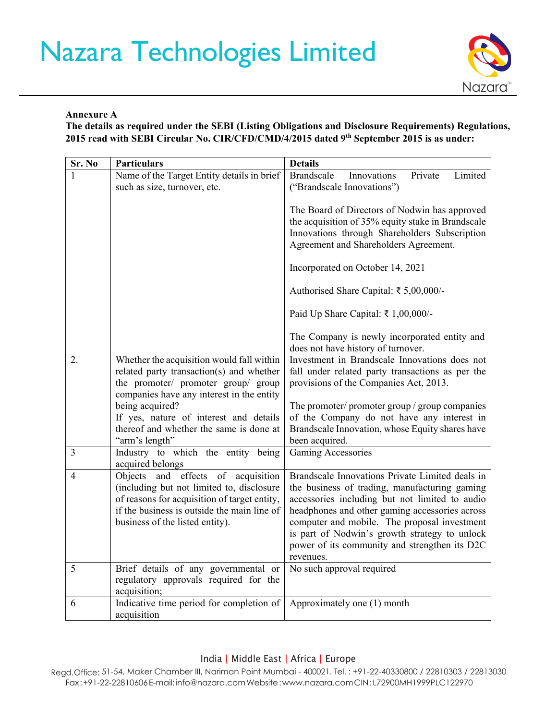# Nazara Technologies Limited



#### **Annexure A**

**The details as required under the SEBI (Listing Obligations and Disclosure Requirements) Regulations, 2015 read with SEBI Circular No. CIR/CFD/CMD/4/2015 dated 9th September 2015 is as under:**

| Sr. No | <b>Particulars</b>                                                                                                                                                                                                | <b>Details</b>                                                                                                                                                                                                                                                                                                                                                      |
|--------|-------------------------------------------------------------------------------------------------------------------------------------------------------------------------------------------------------------------|---------------------------------------------------------------------------------------------------------------------------------------------------------------------------------------------------------------------------------------------------------------------------------------------------------------------------------------------------------------------|
|        | Name of the Target Entity details in brief<br>such as size, turnover, etc.                                                                                                                                        | <b>Brandscale</b><br>Innovations<br>Private<br>Limited<br>("Brandscale Innovations")                                                                                                                                                                                                                                                                                |
|        |                                                                                                                                                                                                                   | The Board of Directors of Nodwin has approved<br>the acquisition of 35% equity stake in Brandscale<br>Innovations through Shareholders Subscription<br>Agreement and Shareholders Agreement.                                                                                                                                                                        |
|        |                                                                                                                                                                                                                   | Incorporated on October 14, 2021                                                                                                                                                                                                                                                                                                                                    |
|        |                                                                                                                                                                                                                   | Authorised Share Capital: ₹ 5,00,000/-                                                                                                                                                                                                                                                                                                                              |
|        |                                                                                                                                                                                                                   | Paid Up Share Capital: ₹ 1,00,000/-                                                                                                                                                                                                                                                                                                                                 |
|        |                                                                                                                                                                                                                   | The Company is newly incorporated entity and<br>does not have history of turnover.                                                                                                                                                                                                                                                                                  |
| 2.     | Whether the acquisition would fall within<br>related party transaction(s) and whether<br>the promoter/ promoter group/ group<br>companies have any interest in the entity                                         | Investment in Brandscale Innovations does not<br>fall under related party transactions as per the<br>provisions of the Companies Act, 2013.                                                                                                                                                                                                                         |
|        | being acquired?<br>If yes, nature of interest and details<br>thereof and whether the same is done at<br>"arm's length"                                                                                            | The promoter/ promoter group / group companies<br>of the Company do not have any interest in<br>Brandscale Innovation, whose Equity shares have<br>been acquired.                                                                                                                                                                                                   |
| 3      | Industry to which the entity being<br>acquired belongs                                                                                                                                                            | Gaming Accessories                                                                                                                                                                                                                                                                                                                                                  |
| 4      | Objects and effects of acquisition<br>(including but not limited to, disclosure<br>of reasons for acquisition of target entity,<br>if the business is outside the main line of<br>business of the listed entity). | Brandscale Innovations Private Limited deals in<br>the business of trading, manufacturing gaming<br>accessories including but not limited to audio<br>headphones and other gaming accessories across<br>computer and mobile. The proposal investment<br>is part of Nodwin's growth strategy to unlock<br>power of its community and strengthen its D2C<br>revenues. |
| 5      | Brief details of any governmental or<br>regulatory approvals required for the<br>acquisition;                                                                                                                     | No such approval required                                                                                                                                                                                                                                                                                                                                           |
| 6      | Indicative time period for completion of<br>acquisition                                                                                                                                                           | Approximately one (1) month                                                                                                                                                                                                                                                                                                                                         |

### India | Middle East | Africa | Europe

Regd.Office: 51-54, Maker Chamber III, Nariman Point Mumbai - 400021. Tel. : +91-22-40330800 / 22810303 / 22813030 Fax:+91-22-22810606E-mail[:info@nazara.comW](mailto:info@nazara.com)ebsite[:www.nazara.comC](http://www.nazara.com/)IN: L72900MH1999PLC122970